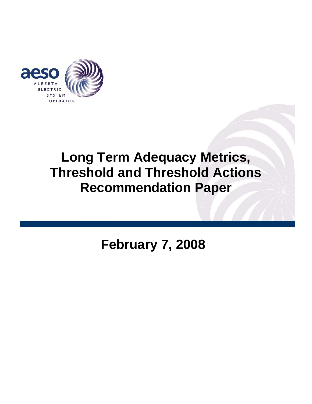

# **Long Term Adequacy Metrics, Threshold and Threshold Actions Recommendation Paper**

**February 7, 2008**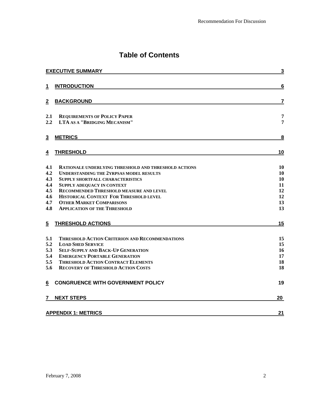# **Table of Contents**

| <b>EXECUTIVE SUMMARY</b>                                                                                                                                                                                                                                                                                                                                                                                             | $\overline{\mathbf{3}}$                      |
|----------------------------------------------------------------------------------------------------------------------------------------------------------------------------------------------------------------------------------------------------------------------------------------------------------------------------------------------------------------------------------------------------------------------|----------------------------------------------|
| <b>INTRODUCTION</b><br>1                                                                                                                                                                                                                                                                                                                                                                                             | $6\phantom{1}6$                              |
| <b>BACKGROUND</b><br>$\overline{2}$                                                                                                                                                                                                                                                                                                                                                                                  | $\overline{\mathbf{r}}$                      |
| 2.1<br><b>REQUIREMENTS OF POLICY PAPER</b><br>2.2<br><b>LTA AS A "BRIDGING MECANISM"</b>                                                                                                                                                                                                                                                                                                                             | 7<br>7                                       |
| 3<br><b>METRICS</b>                                                                                                                                                                                                                                                                                                                                                                                                  | 8                                            |
| <b>THRESHOLD</b><br>4                                                                                                                                                                                                                                                                                                                                                                                                | 10                                           |
| 4.1<br><b>RATIONALE UNDERLYING THRESHOLD AND THRESHOLD ACTIONS</b><br>4.2<br><b>UNDERSTANDING THE 2YRPSAS MODEL RESULTS</b><br>4.3<br><b>SUPPLY SHORTFALL CHARACTERISTICS</b><br>4.4<br><b>SUPPLY ADEQUACY IN CONTEXT</b><br>4.5<br>RECOMMENDED THRESHOLD MEASURE AND LEVEL<br>4.6<br>HISTORICAL CONTEXT FOR THRESHOLD LEVEL<br>4.7<br><b>OTHER MARKET COMPARISONS</b><br>4.8<br><b>APPLICATION OF THE THRESHOLD</b> | 10<br>10<br>10<br>11<br>12<br>12<br>13<br>13 |
| <b>THRESHOLD ACTIONS</b><br>5                                                                                                                                                                                                                                                                                                                                                                                        | 15                                           |
| 5.1<br>THRESHOLD ACTION CRITERION AND RECOMMENDATIONS<br>5.2<br><b>LOAD SHED SERVICE</b><br>5.3<br><b>SELF-SUPPLY AND BACK-UP GENERATION</b><br>5.4<br><b>EMERGENCY PORTABLE GENERATION</b><br>5.5<br><b>THRESHOLD ACTION CONTRACT ELEMENTS</b><br>5.6<br><b>RECOVERY OF THRESHOLD ACTION COSTS</b>                                                                                                                  | 15<br>15<br>16<br>17<br>18<br>18             |
| <b>CONGRUENCE WITH GOVERNMENT POLICY</b><br>6                                                                                                                                                                                                                                                                                                                                                                        | 19                                           |
| <b>NEXT STEPS</b><br>7                                                                                                                                                                                                                                                                                                                                                                                               | 20                                           |
| <b>APPENDIX 1: METRICS</b>                                                                                                                                                                                                                                                                                                                                                                                           | 21                                           |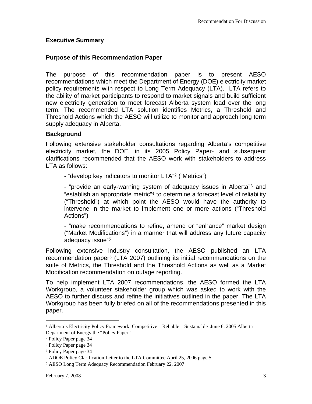#### **Executive Summary**

#### **Purpose of this Recommendation Paper**

The purpose of this recommendation paper is to present AESO recommendations which meet the Department of Energy (DOE) electricity market policy requirements with respect to Long Term Adequacy (LTA). LTA refers to the ability of market participants to respond to market signals and build sufficient new electricity generation to meet forecast Alberta system load over the long term. The recommended LTA solution identifies Metrics, a Threshold and Threshold Actions which the AESO will utilize to monitor and approach long term supply adequacy in Alberta.

#### **Background**

Following extensive stakeholder consultations regarding Alberta's competitive electricity market, the DOE, in its 2005 Policy Paper<sup>[1](#page-2-0)</sup> and subsequent clarifications recommended that the AESO work with stakeholders to address LTA as follows:

- "develop key indicators to monitor LTA"[2](#page-2-1) ("Metrics")

- "provide an early-warning system of adequacy issues in Alberta"[3](#page-2-2) and "establish an appropriate metric"[4](#page-2-3) to determine a forecast level of reliability ("Threshold") at which point the AESO would have the authority to intervene in the market to implement one or more actions ("Threshold Actions")

- "make recommendations to refine, amend or "enhance" market design ("Market Modifications") in a manner that will address any future capacity adequacy issue"[5](#page-2-4)

Following extensive industry consultation, the AESO published an LTA recommendation paper<sup>[6](#page-2-5)</sup> (LTA 2007) outlining its initial recommendations on the suite of Metrics, the Threshold and the Threshold Actions as well as a Market Modification recommendation on outage reporting.

To help implement LTA 2007 recommendations, the AESO formed the LTA Workgroup, a volunteer stakeholder group which was asked to work with the AESO to further discuss and refine the initiatives outlined in the paper. The LTA Workgroup has been fully briefed on all of the recommendations presented in this paper.

 $\overline{a}$ 

<span id="page-2-0"></span><sup>1</sup> Alberta's Electricity Policy Framework: Competitive – Reliable – Sustainable June 6, 2005 Alberta Department of Energy the "Policy Paper"

<span id="page-2-1"></span><sup>2</sup> Policy Paper page 34

<span id="page-2-3"></span><span id="page-2-2"></span><sup>3</sup> Policy Paper page 34

<sup>4</sup> Policy Paper page 34

<span id="page-2-4"></span><sup>5</sup> ADOE Policy Clarification Letter to the LTA Committee April 25, 2006 page 5

<span id="page-2-5"></span><sup>6</sup> AESO Long Term Adequacy Recommendation February 22, 2007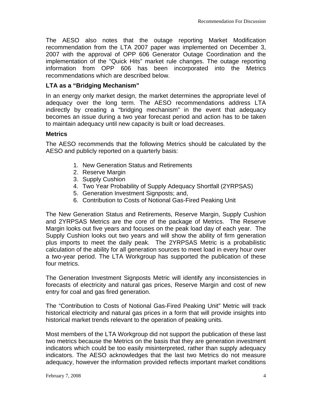The AESO also notes that the outage reporting Market Modification recommendation from the LTA 2007 paper was implemented on December 3, 2007 with the approval of OPP 606 Generator Outage Coordination and the implementation of the "Quick Hits" market rule changes. The outage reporting information from OPP 606 has been incorporated into the Metrics recommendations which are described below.

#### **LTA as a "Bridging Mechanism"**

In an energy only market design, the market determines the appropriate level of adequacy over the long term. The AESO recommendations address LTA indirectly by creating a "bridging mechanism" in the event that adequacy becomes an issue during a two year forecast period and action has to be taken to maintain adequacy until new capacity is built or load decreases.

#### **Metrics**

The AESO recommends that the following Metrics should be calculated by the AESO and publicly reported on a quarterly basis:

- 1. New Generation Status and Retirements
- 2. Reserve Margin
- 3. Supply Cushion
- 4. Two Year Probability of Supply Adequacy Shortfall (2YRPSAS)
- 5. Generation Investment Signposts; and,
- 6. Contribution to Costs of Notional Gas-Fired Peaking Unit

The New Generation Status and Retirements, Reserve Margin, Supply Cushion and 2YRPSAS Metrics are the core of the package of Metrics. The Reserve Margin looks out five years and focuses on the peak load day of each year. The Supply Cushion looks out two years and will show the ability of firm generation plus imports to meet the daily peak. The 2YRPSAS Metric is a probabilistic calculation of the ability for all generation sources to meet load in every hour over a two-year period. The LTA Workgroup has supported the publication of these four metrics.

The Generation Investment Signposts Metric will identify any inconsistencies in forecasts of electricity and natural gas prices, Reserve Margin and cost of new entry for coal and gas fired generation.

The "Contribution to Costs of Notional Gas-Fired Peaking Unit" Metric will track historical electricity and natural gas prices in a form that will provide insights into historical market trends relevant to the operation of peaking units.

Most members of the LTA Workgroup did not support the publication of these last two metrics because the Metrics on the basis that they are generation investment indicators which could be too easily misinterpreted, rather than supply adequacy indicators. The AESO acknowledges that the last two Metrics do not measure adequacy, however the information provided reflects important market conditions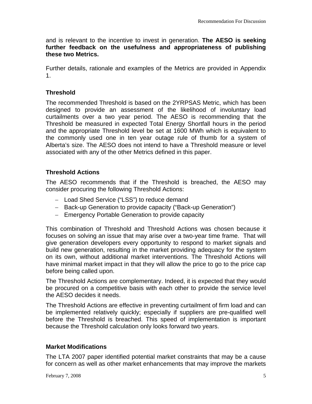and is relevant to the incentive to invest in generation. **The AESO is seeking further feedback on the usefulness and appropriateness of publishing these two Metrics.**

Further details, rationale and examples of the Metrics are provided in Appendix 1.

#### **Threshold**

The recommended Threshold is based on the 2YRPSAS Metric, which has been designed to provide an assessment of the likelihood of involuntary load curtailments over a two year period. The AESO is recommending that the Threshold be measured in expected Total Energy Shortfall hours in the period and the appropriate Threshold level be set at 1600 MWh which is equivalent to the commonly used one in ten year outage rule of thumb for a system of Alberta's size. The AESO does not intend to have a Threshold measure or level associated with any of the other Metrics defined in this paper.

## **Threshold Actions**

The AESO recommends that if the Threshold is breached, the AESO may consider procuring the following Threshold Actions:

- − Load Shed Service ("LSS") to reduce demand
- − Back-up Generation to provide capacity ("Back-up Generation")
- − Emergency Portable Generation to provide capacity

This combination of Threshold and Threshold Actions was chosen because it focuses on solving an issue that may arise over a two-year time frame. That will give generation developers every opportunity to respond to market signals and build new generation, resulting in the market providing adequacy for the system on its own, without additional market interventions. The Threshold Actions will have minimal market impact in that they will allow the price to go to the price cap before being called upon.

The Threshold Actions are complementary. Indeed, it is expected that they would be procured on a competitive basis with each other to provide the service level the AESO decides it needs.

The Threshold Actions are effective in preventing curtailment of firm load and can be implemented relatively quickly; especially if suppliers are pre-qualified well before the Threshold is breached. This speed of implementation is important because the Threshold calculation only looks forward two years.

#### **Market Modifications**

The LTA 2007 paper identified potential market constraints that may be a cause for concern as well as other market enhancements that may improve the markets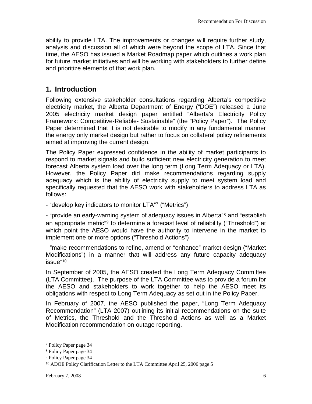ability to provide LTA. The improvements or changes will require further study, analysis and discussion all of which were beyond the scope of LTA. Since that time, the AESO has issued a Market Roadmap paper which outlines a work plan for future market initiatives and will be working with stakeholders to further define and prioritize elements of that work plan.

## **1. Introduction**

Following extensive stakeholder consultations regarding Alberta's competitive electricity market, the Alberta Department of Energy ("DOE") released a June 2005 electricity market design paper entitled "Alberta's Electricity Policy Framework: Competitive-Reliable- Sustainable" (the "Policy Paper"). The Policy Paper determined that it is not desirable to modify in any fundamental manner the energy only market design but rather to focus on collateral policy refinements aimed at improving the current design.

The Policy Paper expressed confidence in the ability of market participants to respond to market signals and build sufficient new electricity generation to meet forecast Alberta system load over the long term (Long Term Adequacy or LTA). However, the Policy Paper did make recommendations regarding supply adequacy which is the ability of electricity supply to meet system load and specifically requested that the AESO work with stakeholders to address LTA as follows:

- "develop key indicators to monitor LTA"[7](#page-5-0) ("Metrics")

- "provide an early-warning system of adequacy issues in Alberta"<sup>[8](#page-5-1)</sup> and "establish an appropriate metric"[9](#page-5-2) to determine a forecast level of reliability ("Threshold") at which point the AESO would have the authority to intervene in the market to implement one or more options ("Threshold Actions")

- "make recommendations to refine, amend or "enhance" market design ("Market Modifications") in a manner that will address any future capacity adequacy issue"[10](#page-5-3)

In September of 2005, the AESO created the Long Term Adequacy Committee (LTA Committee). The purpose of the LTA Committee was to provide a forum for the AESO and stakeholders to work together to help the AESO meet its obligations with respect to Long Term Adequacy as set out in the Policy Paper.

In February of 2007, the AESO published the paper, "Long Term Adequacy Recommendation" (LTA 2007) outlining its initial recommendations on the suite of Metrics, the Threshold and the Threshold Actions as well as a Market Modification recommendation on outage reporting.

 $\overline{a}$ 

<sup>7</sup> Policy Paper page 34

<sup>8</sup> Policy Paper page 34

<sup>9</sup> Policy Paper page 34

<span id="page-5-3"></span><span id="page-5-2"></span><span id="page-5-1"></span><span id="page-5-0"></span><sup>10</sup> ADOE Policy Clarification Letter to the LTA Committee April 25, 2006 page 5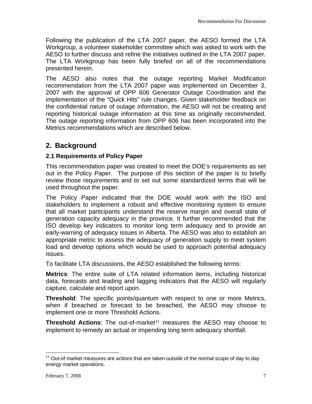Following the publication of the LTA 2007 paper, the AESO formed the LTA Workgroup, a volunteer stakeholder committee which was asked to work with the AESO to further discuss and refine the initiatives outlined in the LTA 2007 paper. The LTA Workgroup has been fully briefed on all of the recommendations presented herein.

The AESO also notes that the outage reporting Market Modification recommendation from the LTA 2007 paper was implemented on December 3, 2007 with the approval of OPP 606 Generator Outage Coordination and the implementation of the "Quick Hits" rule changes. Given stakeholder feedback on the confidential nature of outage information, the AESO will not be creating and reporting historical outage information at this time as originally recommended. The outage reporting information from OPP 606 has been incorporated into the Metrics recommendations which are described below.

## **2. Background**

#### **2.1 Requirements of Policy Paper**

This recommendation paper was created to meet the DOE's requirements as set out in the Policy Paper. The purpose of this section of the paper is to briefly review those requirements and to set out some standardized terms that will be used throughout the paper.

The Policy Paper indicated that the DOE would work with the ISO and stakeholders to implement a robust and effective monitoring system to ensure that all market participants understand the reserve margin and overall state of generation capacity adequacy in the province. It further recommended that the ISO develop key indicators to monitor long term adequacy and to provide an early-warning of adequacy issues in Alberta. The AESO was also to establish an appropriate metric to assess the adequacy of generation supply to meet system load and develop options which would be used to approach potential adequacy issues.

To facilitate LTA discussions, the AESO established the following terms:

**Metrics**: The entire suite of LTA related information items, including historical data, forecasts and leading and lagging indicators that the AESO will regularly capture, calculate and report upon.

**Threshold**: The specific points/quantum with respect to one or more Metrics, when if breached or forecast to be breached, the AESO may choose to implement one or more Threshold Actions.

**Threshold Actions:** The out-of-market<sup>[11](#page-6-0)</sup> measures the AESO may choose to implement to remedy an actual or impending long term adequacy shortfall.

<span id="page-6-0"></span> $\overline{a}$  $11$  Out-of market measures are actions that are taken outside of the normal scope of day to day energy market operations.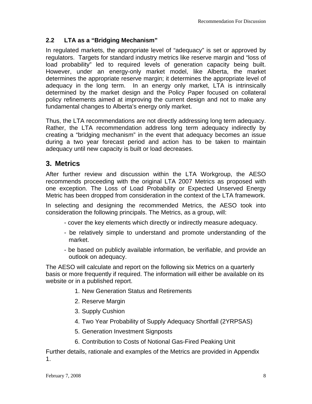## **2.2 LTA as a "Bridging Mechanism"**

In regulated markets, the appropriate level of "adequacy" is set or approved by regulators. Targets for standard industry metrics like reserve margin and "loss of load probability" led to required levels of generation capacity being built. However, under an energy-only market model, like Alberta, the market determines the appropriate reserve margin; it determines the appropriate level of adequacy in the long term. In an energy only market, LTA is intrinsically determined by the market design and the Policy Paper focused on collateral policy refinements aimed at improving the current design and not to make any fundamental changes to Alberta's energy only market.

Thus, the LTA recommendations are not directly addressing long term adequacy. Rather, the LTA recommendation address long term adequacy indirectly by creating a "bridging mechanism" in the event that adequacy becomes an issue during a two year forecast period and action has to be taken to maintain adequacy until new capacity is built or load decreases.

## **3. Metrics**

After further review and discussion within the LTA Workgroup, the AESO recommends proceeding with the original LTA 2007 Metrics as proposed with one exception. The Loss of Load Probability or Expected Unserved Energy Metric has been dropped from consideration in the context of the LTA framework.

In selecting and designing the recommended Metrics, the AESO took into consideration the following principals. The Metrics, as a group, will:

- cover the key elements which directly or indirectly measure adequacy.
- be relatively simple to understand and promote understanding of the market.
- be based on publicly available information, be verifiable, and provide an outlook on adequacy.

The AESO will calculate and report on the following six Metrics on a quarterly basis or more frequently if required. The information will either be available on its website or in a published report.

- 1. New Generation Status and Retirements
- 2. Reserve Margin
- 3. Supply Cushion
- 4. Two Year Probability of Supply Adequacy Shortfall (2YRPSAS)
- 5. Generation Investment Signposts
- 6. Contribution to Costs of Notional Gas-Fired Peaking Unit

Further details, rationale and examples of the Metrics are provided in Appendix 1.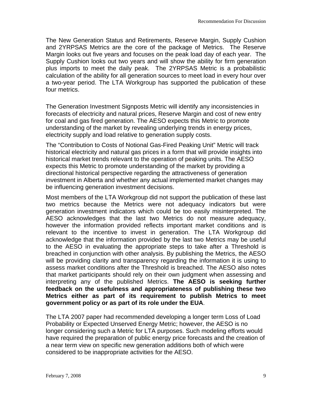The New Generation Status and Retirements, Reserve Margin, Supply Cushion and 2YRPSAS Metrics are the core of the package of Metrics. The Reserve Margin looks out five years and focuses on the peak load day of each year. The Supply Cushion looks out two years and will show the ability for firm generation plus imports to meet the daily peak. The 2YRPSAS Metric is a probabilistic calculation of the ability for all generation sources to meet load in every hour over a two-year period. The LTA Workgroup has supported the publication of these four metrics.

The Generation Investment Signposts Metric will identify any inconsistencies in forecasts of electricity and natural prices, Reserve Margin and cost of new entry for coal and gas fired generation. The AESO expects this Metric to promote understanding of the market by revealing underlying trends in energy prices, electricity supply and load relative to generation supply costs.

The "Contribution to Costs of Notional Gas-Fired Peaking Unit" Metric will track historical electricity and natural gas prices in a form that will provide insights into historical market trends relevant to the operation of peaking units. The AESO expects this Metric to promote understanding of the market by providing a directional historical perspective regarding the attractiveness of generation investment in Alberta and whether any actual implemented market changes may be influencing generation investment decisions.

Most members of the LTA Workgroup did not support the publication of these last two metrics because the Metrics were not adequacy indicators but were generation investment indicators which could be too easily misinterpreted. The AESO acknowledges that the last two Metrics do not measure adequacy, however the information provided reflects important market conditions and is relevant to the incentive to invest in generation. The LTA Workgroup did acknowledge that the information provided by the last two Metrics may be useful to the AESO in evaluating the appropriate steps to take after a Threshold is breached in conjunction with other analysis. By publishing the Metrics, the AESO will be providing clarity and transparency regarding the information it is using to assess market conditions after the Threshold is breached. The AESO also notes that market participants should rely on their own judgment when assessing and interpreting any of the published Metrics. **The AESO is seeking further feedback on the usefulness and appropriateness of publishing these two Metrics either as part of its requirement to publish Metrics to meet government policy or as part of its role under the EUA**.

The LTA 2007 paper had recommended developing a longer term Loss of Load Probability or Expected Unserved Energy Metric; however, the AESO is no longer considering such a Metric for LTA purposes. Such modeling efforts would have required the preparation of public energy price forecasts and the creation of a near term view on specific new generation additions both of which were considered to be inappropriate activities for the AESO.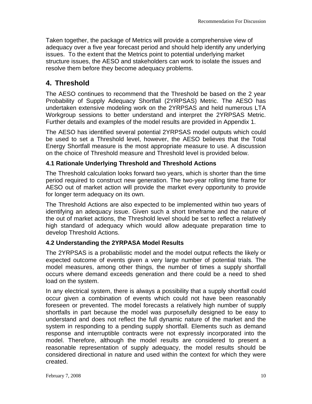Taken together, the package of Metrics will provide a comprehensive view of adequacy over a five year forecast period and should help identify any underlying issues. To the extent that the Metrics point to potential underlying market structure issues, the AESO and stakeholders can work to isolate the issues and resolve them before they become adequacy problems.

## **4. Threshold**

The AESO continues to recommend that the Threshold be based on the 2 year Probability of Supply Adequacy Shortfall (2YRPSAS) Metric. The AESO has undertaken extensive modeling work on the 2YRPSAS and held numerous LTA Workgroup sessions to better understand and interpret the 2YRPSAS Metric. Further details and examples of the model results are provided in Appendix 1.

The AESO has identified several potential 2YRPSAS model outputs which could be used to set a Threshold level, however, the AESO believes that the Total Energy Shortfall measure is the most appropriate measure to use. A discussion on the choice of Threshold measure and Threshold level is provided below.

#### **4.1 Rationale Underlying Threshold and Threshold Actions**

The Threshold calculation looks forward two years, which is shorter than the time period required to construct new generation. The two-year rolling time frame for AESO out of market action will provide the market every opportunity to provide for longer term adequacy on its own.

The Threshold Actions are also expected to be implemented within two years of identifying an adequacy issue. Given such a short timeframe and the nature of the out of market actions, the Threshold level should be set to reflect a relatively high standard of adequacy which would allow adequate preparation time to develop Threshold Actions.

#### **4.2 Understanding the 2YRPASA Model Results**

The 2YRPSAS is a probabilistic model and the model output reflects the likely or expected outcome of events given a very large number of potential trials. The model measures, among other things, the number of times a supply shortfall occurs where demand exceeds generation and there could be a need to shed load on the system.

In any electrical system, there is always a possibility that a supply shortfall could occur given a combination of events which could not have been reasonably foreseen or prevented. The model forecasts a relatively high number of supply shortfalls in part because the model was purposefully designed to be easy to understand and does not reflect the full dynamic nature of the market and the system in responding to a pending supply shortfall. Elements such as demand response and interruptible contracts were not expressly incorporated into the model. Therefore, although the model results are considered to present a reasonable representation of supply adequacy, the model results should be considered directional in nature and used within the context for which they were created.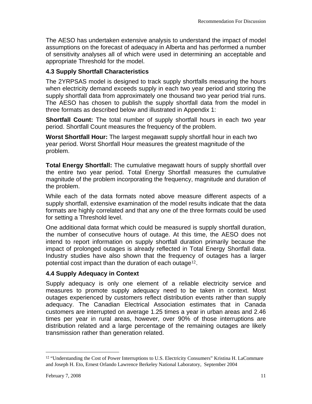The AESO has undertaken extensive analysis to understand the impact of model assumptions on the forecast of adequacy in Alberta and has performed a number of sensitivity analyses all of which were used in determining an acceptable and appropriate Threshold for the model.

#### **4.3 Supply Shortfall Characteristics**

The 2YRPSAS model is designed to track supply shortfalls measuring the hours when electricity demand exceeds supply in each two year period and storing the supply shortfall data from approximately one thousand two year period trial runs. The AESO has chosen to publish the supply shortfall data from the model in three formats as described below and illustrated in Appendix 1:

**Shortfall Count:** The total number of supply shortfall hours in each two year period. Shortfall Count measures the frequency of the problem.

**Worst Shortfall Hour:** The largest megawatt supply shortfall hour in each two year period. Worst Shortfall Hour measures the greatest magnitude of the problem.

**Total Energy Shortfall:** The cumulative megawatt hours of supply shortfall over the entire two year period. Total Energy Shortfall measures the cumulative magnitude of the problem incorporating the frequency, magnitude and duration of the problem.

While each of the data formats noted above measure different aspects of a supply shortfall, extensive examination of the model results indicate that the data formats are highly correlated and that any one of the three formats could be used for setting a Threshold level.

One additional data format which could be measured is supply shortfall duration, the number of consecutive hours of outage. At this time, the AESO does not intend to report information on supply shortfall duration primarily because the impact of prolonged outages is already reflected in Total Energy Shortfall data. Industry studies have also shown that the frequency of outages has a larger potential cost impact than the duration of each outage<sup>[12](#page-10-0)</sup>.

#### **4.4 Supply Adequacy in Context**

Supply adequacy is only one element of a reliable electricity service and measures to promote supply adequacy need to be taken in context. Most outages experienced by customers reflect distribution events rather than supply adequacy. The Canadian Electrical Association estimates that in Canada customers are interrupted on average 1.25 times a year in urban areas and 2.46 times per year in rural areas, however, over 90% of those interruptions are distribution related and a large percentage of the remaining outages are likely transmission rather than generation related.

 $\overline{a}$ 

<span id="page-10-0"></span><sup>12</sup> "Understanding the Cost of Power Interruptions to U.S. Electricity Consumers" Kristina H. LaCommare and Joseph H. Eto, Ernest Orlando Lawrence Berkeley National Laboratory, September 2004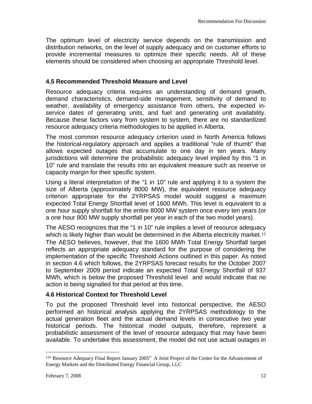<span id="page-11-0"></span>The optimum level of electricity service depends on the transmission and distribution networks, on the level of supply adequacy and on customer efforts to provide incremental measures to optimize their specific needs. All of these elements should be considered when choosing an appropriate Threshold level.

#### **4.5 Recommended Threshold Measure and Level**

Resource adequacy criteria requires an understanding of demand growth, demand characteristics, demand-side management, sensitivity of demand to weather, availability of emergency assistance from others, the expected inservice dates of generating units, and fuel and generating unit availability. Because these factors vary from system to system, there are no standardized resource adequacy criteria methodologies to be applied in Alberta.

The most common resource adequacy criterion used in North America follows the historical-regulatory approach and applies a traditional "rule of thumb" that allows expected outages that accumulate to one day in ten years. Many jurisdictions will determine the probabilistic adequacy level implied by this "1 in 10" rule and translate the results into an equivalent measure such as reserve or capacity margin for their specific system.

Using a literal interpretation of the "1 in 10" rule and applying it to a system the size of Alberta (approximately 8000 MW), the equivalent resource adequacy criterion appropriate for the 2YRPSAS model would suggest a maximum expected Total Energy Shortfall level of 1600 MWh. This level is equivalent to a one hour supply shortfall for the entire 8000 MW system once every ten years (or a one hour 800 MW supply shortfall per year in each of the two model years).

The AESO recognizes that the "1 in 10" rule implies a level of resource adequacy which is likely higher than would be determined in the Alberta electricity market.<sup>[13](#page-11-0)</sup> The AESO believes, however, that the 1600 MWh Total Energy Shortfall target reflects an appropriate adequacy standard for the purpose of considering the implementation of the specific Threshold Actions outlined in this paper. As noted in section 4.6 which follows, the 2YRPSAS forecast results for the October 2007 to September 2009 period indicate an expected Total Energy Shortfall of 937 MWh, which is below the proposed Threshold level and would indicate that no action is being signalled for that period at this time.

#### **4.6 Historical Context for Threshold Level**

To put the proposed Threshold level into historical perspective, the AESO performed an historical analysis applying the 2YRPSAS methodology to the actual generation fleet and the actual demand levels in consecutive two year historical periods. The historical model outputs, therefore, represent a probabilistic assessment of the level of resource adequacy that may have been available. To undertake this assessment, the model did not use actual outages in

<u>.</u>

<sup>&</sup>lt;sup>13"</sup> Resource Adequacy Final Report January 2005" A Joint Project of the Center for the Advancement of Energy Markets and the Distributed Energy Financial Group, LLC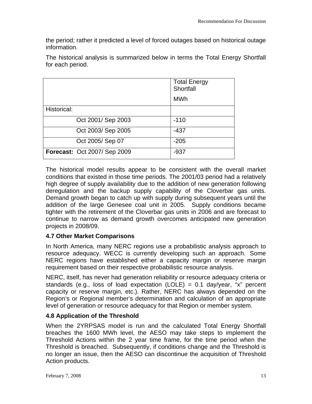the period; rather it predicted a level of forced outages based on historical outage information.

The historical analysis is summarized below in terms the Total Energy Shortfall for each period.

|                              | <b>Total Energy</b><br>Shortfall |
|------------------------------|----------------------------------|
|                              | <b>MWh</b>                       |
| Historical:                  |                                  |
| Oct 2001/ Sep 2003           | $-110$                           |
| Oct 2003/ Sep 2005           | $-437$                           |
| Oct 2005/ Sep 07             | $-205$                           |
| Forecast: Oct 2007/ Sep 2009 | $-937$                           |

The historical model results appear to be consistent with the overall market conditions that existed in those time periods. The 2001/03 period had a relatively high degree of supply availability due to the addition of new generation following deregulation and the backup supply capability of the Cloverbar gas units. Demand growth began to catch up with supply during subsequent years until the addition of the large Genesee coal unit in 2005. Supply conditions became tighter with the retirement of the Cloverbar gas units in 2006 and are forecast to continue to narrow as demand growth overcomes anticipated new generation projects in 2008/09.

#### **4.7 Other Market Comparisons**

In North America, many NERC regions use a probabilistic analysis approach to resource adequacy. WECC is currently developing such an approach. Some NERC regions have established either a capacity margin or reserve margin

requirement based on their respective probabilistic resource analysis.<br>NERC, itself, has never had generation reliability or resource adequacy criteria or standards (e.g., loss of load expectation (LOLE) = 0.1 day/year, "x" percent capacity or reserve margin, etc.). Rather, NERC has always depended on the Region's or Regional member's determination and calculation of an appropriate level of generation or resource adequacy for that Region or member system.

#### **4.8 Application of the Threshold**

When the 2YRPSAS model is run and the calculated Total Energy Shortfall breaches the 1600 MWh level, the AESO may take steps to implement the Threshold Actions within the 2 year time frame, for the time period when the Threshold is breached. Subsequently, if conditions change and the Threshold is no longer an issue, then the AESO can discontinue the acquisition of Threshold Action products.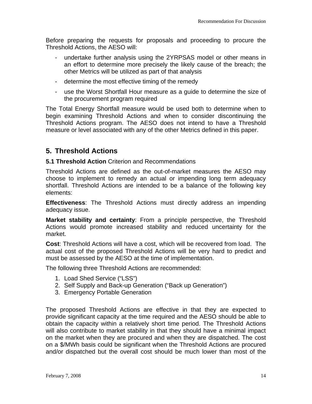Before preparing the requests for proposals and proceeding to procure the Threshold Actions, the AESO will:

- undertake further analysis using the 2YRPSAS model or other means in an effort to determine more precisely the likely cause of the breach; the other Metrics will be utilized as part of that analysis
- determine the most effective timing of the remedy
- use the Worst Shortfall Hour measure as a guide to determine the size of the procurement program required

The Total Energy Shortfall measure would be used both to determine when to begin examining Threshold Actions and when to consider discontinuing the Threshold Actions program. The AESO does not intend to have a Threshold measure or level associated with any of the other Metrics defined in this paper.

## **5. Threshold Actions**

#### **5.1 Threshold Action** Criterion and Recommendations

Threshold Actions are defined as the out-of-market measures the AESO may choose to implement to remedy an actual or impending long term adequacy shortfall. Threshold Actions are intended to be a balance of the following key elements:

**Effectiveness**: The Threshold Actions must directly address an impending adequacy issue.

**Market stability and certainty**: From a principle perspective, the Threshold Actions would promote increased stability and reduced uncertainty for the market.

**Cost**: Threshold Actions will have a cost, which will be recovered from load. The actual cost of the proposed Threshold Actions will be very hard to predict and must be assessed by the AESO at the time of implementation.

The following three Threshold Actions are recommended:

- 1. Load Shed Service ("LSS")
- 2. Self Supply and Back-up Generation ("Back up Generation")
- 3. Emergency Portable Generation

The proposed Threshold Actions are effective in that they are expected to provide significant capacity at the time required and the AESO should be able to obtain the capacity within a relatively short time period. The Threshold Actions will also contribute to market stability in that they should have a minimal impact on the market when they are procured and when they are dispatched. The cost on a \$/MWh basis could be significant when the Threshold Actions are procured and/or dispatched but the overall cost should be much lower than most of the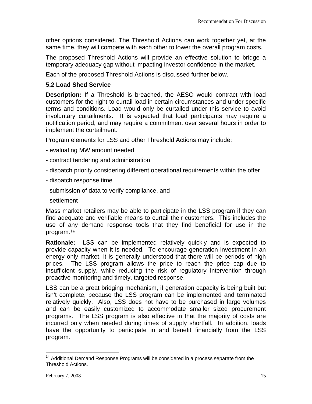<span id="page-14-0"></span>other options considered. The Threshold Actions can work together yet, at the same time, they will compete with each other to lower the overall program costs.

The proposed Threshold Actions will provide an effective solution to bridge a temporary adequacy gap without impacting investor confidence in the market.

Each of the proposed Threshold Actions is discussed further below.

#### **5.2 Load Shed Service**

**Description:** If a Threshold is breached, the AESO would contract with load customers for the right to curtail load in certain circumstances and under specific terms and conditions. Load would only be curtailed under this service to avoid involuntary curtailments. It is expected that load participants may require a notification period, and may require a commitment over several hours in order to implement the curtailment.

Program elements for LSS and other Threshold Actions may include:

- evaluating MW amount needed
- contract tendering and administration
- dispatch priority considering different operational requirements within the offer
- dispatch response time
- submission of data to verify compliance, and
- settlement

Mass market retailers may be able to participate in the LSS program if they can find adequate and verifiable means to curtail their customers. This includes the use of any demand response tools that they find beneficial for use in the program.[14](#page-14-0)

**Rationale:** LSS can be implemented relatively quickly and is expected to provide capacity when it is needed. To encourage generation investment in an energy only market, it is generally understood that there will be periods of high prices. The LSS program allows the price to reach the price cap due to insufficient supply, while reducing the risk of regulatory intervention through proactive monitoring and timely, targeted response.

LSS can be a great bridging mechanism, if generation capacity is being built but isn't complete, because the LSS program can be implemented and terminated relatively quickly. Also, LSS does not have to be purchased in large volumes and can be easily customized to accommodate smaller sized procurement programs. The LSS program is also effective in that the majority of costs are incurred only when needed during times of supply shortfall. In addition, loads have the opportunity to participate in and benefit financially from the LSS program.

 $\overline{a}$  $14$  Additional Demand Response Programs will be considered in a process separate from the Threshold Actions.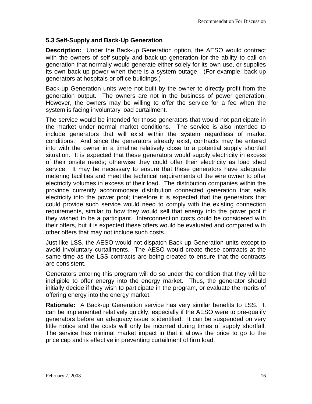#### **5.3 Self-Supply and Back-Up Generation**

**Description:** Under the Back-up Generation option, the AESO would contract with the owners of self-supply and back-up generation for the ability to call on generation that normally would generate either solely for its own use, or supplies its own back-up power when there is a system outage. (For example, back-up generators at hospitals or office buildings.)

Back-up Generation units were not built by the owner to directly profit from the generation output. The owners are not in the business of power generation. However, the owners may be willing to offer the service for a fee when the system is facing involuntary load curtailment.

The service would be intended for those generators that would not participate in the market under normal market conditions. The service is also intended to include generators that will exist within the system regardless of market conditions. And since the generators already exist, contracts may be entered into with the owner in a timeline relatively close to a potential supply shortfall situation. It is expected that these generators would supply electricity in excess of their onsite needs; otherwise they could offer their electricity as load shed service. It may be necessary to ensure that these generators have adequate metering facilities and meet the technical requirements of the wire owner to offer electricity volumes in excess of their load. The distribution companies within the province currently accommodate distribution connected generation that sells electricity into the power pool; therefore it is expected that the generators that could provide such service would need to comply with the existing connection requirements, similar to how they would sell that energy into the power pool if they wished to be a participant. Interconnection costs could be considered with their offers, but it is expected these offers would be evaluated and compared with other offers that may not include such costs.

Just like LSS, the AESO would not dispatch Back-up Generation units except to avoid involuntary curtailments. The AESO would create these contracts at the same time as the LSS contracts are being created to ensure that the contracts are consistent.

Generators entering this program will do so under the condition that they will be ineligible to offer energy into the energy market. Thus, the generator should initially decide if they wish to participate in the program, or evaluate the merits of offering energy into the energy market.

**Rationale:** A Back-up Generation service has very similar benefits to LSS. It can be implemented relatively quickly, especially if the AESO were to pre-qualify generators before an adequacy issue is identified. It can be suspended on very little notice and the costs will only be incurred during times of supply shortfall. The service has minimal market impact in that it allows the price to go to the price cap and is effective in preventing curtailment of firm load.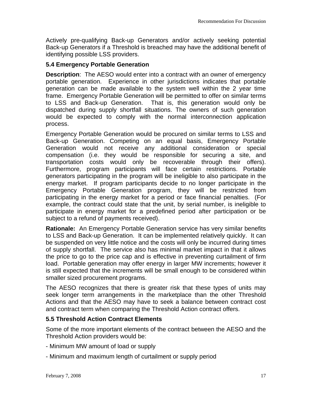Actively pre-qualifying Back-up Generators and/or actively seeking potential Back-up Generators if a Threshold is breached may have the additional benefit of identifying possible LSS providers.

#### **5.4 Emergency Portable Generation**

**Description**: The AESO would enter into a contract with an owner of emergency portable generation. Experience in other jurisdictions indicates that portable generation can be made available to the system well within the 2 year time frame. Emergency Portable Generation will be permitted to offer on similar terms to LSS and Back-up Generation. That is, this generation would only be dispatched during supply shortfall situations. The owners of such generation would be expected to comply with the normal interconnection application process.

Emergency Portable Generation would be procured on similar terms to LSS and Back-up Generation. Competing on an equal basis, Emergency Portable Generation would not receive any additional consideration or special compensation (i.e. they would be responsible for securing a site, and transportation costs would only be recoverable through their offers). Furthermore, program participants will face certain restrictions. Portable generators participating in the program will be ineligible to also participate in the energy market. If program participants decide to no longer participate in the Emergency Portable Generation program, they will be restricted from participating in the energy market for a period or face financial penalties. (For example, the contract could state that the unit, by serial number, is ineligible to participate in energy market for a predefined period after participation or be subject to a refund of payments received).

**Rationale:** An Emergency Portable Generation service has very similar benefits to LSS and Back-up Generation. It can be implemented relatively quickly. It can be suspended on very little notice and the costs will only be incurred during times of supply shortfall. The service also has minimal market impact in that it allows the price to go to the price cap and is effective in preventing curtailment of firm load. Portable generation may offer energy in larger MW increments; however it is still expected that the increments will be small enough to be considered within smaller sized procurement programs.

The AESO recognizes that there is greater risk that these types of units may seek longer term arrangements in the marketplace than the other Threshold Actions and that the AESO may have to seek a balance between contract cost and contract term when comparing the Threshold Action contract offers.

#### **5.5 Threshold Action Contract Elements**

Some of the more important elements of the contract between the AESO and the Threshold Action providers would be:

- Minimum MW amount of load or supply
- Minimum and maximum length of curtailment or supply period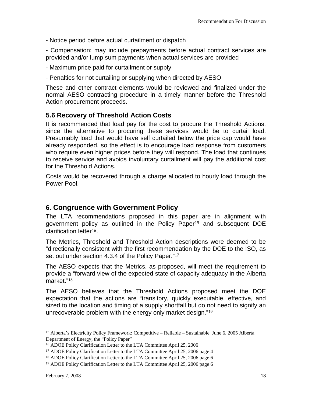<span id="page-17-0"></span>- Notice period before actual curtailment or dispatch

- Compensation: may include prepayments before actual contract services are provided and/or lump sum payments when actual services are provided

- Maximum price paid for curtailment or supply

- Penalties for not curtailing or supplying when directed by AESO

These and other contract elements would be reviewed and finalized under the normal AESO contracting procedure in a timely manner before the Threshold Action procurement proceeds.

#### **5.6 Recovery of Threshold Action Costs**

It is recommended that load pay for the cost to procure the Threshold Actions, since the alternative to procuring these services would be to curtail load. Presumably load that would have self curtailed below the price cap would have already responded, so the effect is to encourage load response from customers who require even higher prices before they will respond. The load that continues to receive service and avoids involuntary curtailment will pay the additional cost for the Threshold Actions.

Costs would be recovered through a charge allocated to hourly load through the Power Pool.

## **6. Congruence with Government Policy**

The LTA recommendations proposed in this paper are in alignment with government policy as outlined in the Policy Paper[15](#page-17-0) and subsequent DOE clarification letter[16](#page-17-0).

The Metrics, Threshold and Threshold Action descriptions were deemed to be "directionally consistent with the first recommendation by the DOE to the ISO, as set out under section 4.3.4 of the Policy Paper."[17](#page-17-0)

The AESO expects that the Metrics, as proposed, will meet the requirement to provide a "forward view of the expected state of capacity adequacy in the Alberta market."[18](#page-17-0)

The AESO believes that the Threshold Actions proposed meet the DOE expectation that the actions are "transitory, quickly executable, effective, and sized to the location and timing of a supply shortfall but do not need to signify an unrecoverable problem with the energy only market design."[19](#page-17-0)

 $\overline{a}$ 

<sup>15</sup> Alberta's Electricity Policy Framework: Competitive – Reliable – Sustainable June 6, 2005 Alberta Department of Energy, the "Policy Paper"

<sup>16</sup> ADOE Policy Clarification Letter to the LTA Committee April 25, 2006

<sup>17</sup> ADOE Policy Clarification Letter to the LTA Committee April 25, 2006 page 4

<sup>18</sup> ADOE Policy Clarification Letter to the LTA Committee April 25, 2006 page 6

<sup>19</sup> ADOE Policy Clarification Letter to the LTA Committee April 25, 2006 page 6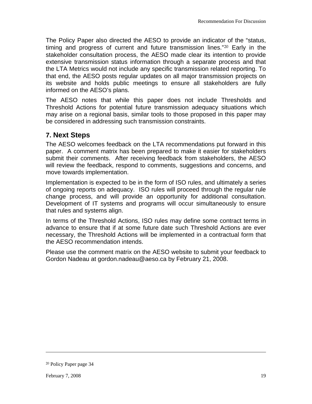<span id="page-18-0"></span>The Policy Paper also directed the AESO to provide an indicator of the "status, timing and progress of current and future transmission lines."[20](#page-18-0) Early in the stakeholder consultation process, the AESO made clear its intention to provide extensive transmission status information through a separate process and that the LTA Metrics would not include any specific transmission related reporting. To that end, the AESO posts regular updates on all major transmission projects on its website and holds public meetings to ensure all stakeholders are fully informed on the AESO's plans.

The AESO notes that while this paper does not include Thresholds and Threshold Actions for potential future transmission adequacy situations which may arise on a regional basis, similar tools to those proposed in this paper may be considered in addressing such transmission constraints.

## **7. Next Steps**

The AESO welcomes feedback on the LTA recommendations put forward in this paper. A comment matrix has been prepared to make it easier for stakeholders submit their comments. After receiving feedback from stakeholders, the AESO will review the feedback, respond to comments, suggestions and concerns, and move towards implementation.

Implementation is expected to be in the form of ISO rules, and ultimately a series of ongoing reports on adequacy. ISO rules will proceed through the regular rule change process, and will provide an opportunity for additional consultation. Development of IT systems and programs will occur simultaneously to ensure that rules and systems align.

In terms of the Threshold Actions, ISO rules may define some contract terms in advance to ensure that if at some future date such Threshold Actions are ever necessary, the Threshold Actions will be implemented in a contractual form that the AESO recommendation intends.

Please use the comment matrix on the AESO website to submit your feedback to Gordon Nadeau at gordon.nadeau@aeso.ca by February 21, 2008.

 $\overline{a}$ 

<sup>20</sup> Policy Paper page 34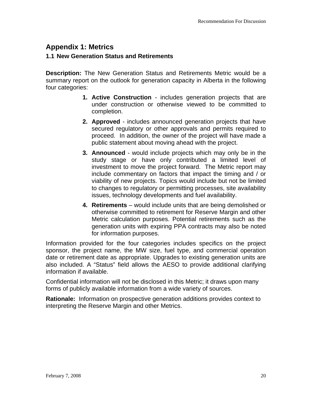## **Appendix 1: Metrics**

#### **1.1 New Generation Status and Retirements**

**Description:** The New Generation Status and Retirements Metric would be a summary report on the outlook for generation capacity in Alberta in the following four categories:

- **1. Active Construction**  includes generation projects that are under construction or otherwise viewed to be committed to completion.
- **2. Approved** includes announced generation projects that have secured regulatory or other approvals and permits required to proceed. In addition, the owner of the project will have made a public statement about moving ahead with the project.
- **3. Announced** would include projects which may only be in the study stage or have only contributed a limited level of investment to move the project forward. The Metric report may include commentary on factors that impact the timing and / or viability of new projects. Topics would include but not be limited to changes to regulatory or permitting processes, site availability issues, technology developments and fuel availability.
- **4. Retirements** would include units that are being demolished or otherwise committed to retirement for Reserve Margin and other Metric calculation purposes. Potential retirements such as the generation units with expiring PPA contracts may also be noted for information purposes.

Information provided for the four categories includes specifics on the project sponsor, the project name, the MW size, fuel type, and commercial operation date or retirement date as appropriate. Upgrades to existing generation units are also included. A "Status" field allows the AESO to provide additional clarifying information if available.

Confidential information will not be disclosed in this Metric; it draws upon many forms of publicly available information from a wide variety of sources.

**Rationale:** Information on prospective generation additions provides context to interpreting the Reserve Margin and other Metrics.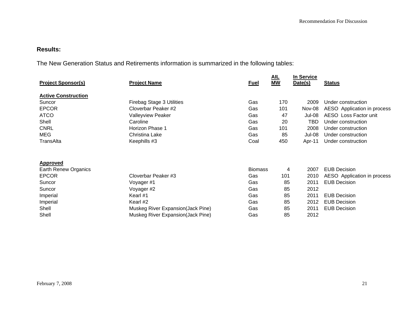#### **Results:**

The New Generation Status and Retirements information is summarized in the following tables:

| <b>Project Sponsor(s)</b>  | <b>Project Name</b>               | <b>Fuel</b>    | AL<br><b>MW</b> | In Service<br>Date(s) | <b>Status</b>               |
|----------------------------|-----------------------------------|----------------|-----------------|-----------------------|-----------------------------|
| <b>Active Construction</b> |                                   |                |                 |                       |                             |
| Suncor                     | <b>Firebag Stage 3 Utilities</b>  | Gas            | 170             | 2009                  | Under construction          |
| <b>EPCOR</b>               | Cloverbar Peaker #2               | Gas            | 101             | Nov-08                | AESO Application in process |
| <b>ATCO</b>                | <b>Valleyview Peaker</b>          | Gas            | 47              | <b>Jul-08</b>         | AESO Loss Factor unit       |
| Shell                      | Caroline                          | Gas            | 20              | <b>TBD</b>            | Under construction          |
| <b>CNRL</b>                | Horizon Phase 1                   | Gas            | 101             | 2008                  | Under construction          |
| <b>MEG</b>                 | Christina Lake                    | Gas            | 85              | Jul-08                | Under construction          |
| TransAlta                  | Keephills #3                      | Coal           | 450             | Apr-11                | Under construction          |
|                            |                                   |                |                 |                       |                             |
| <b>Approved</b>            |                                   |                |                 |                       |                             |
| Earth Renew Organics       |                                   | <b>Biomass</b> | 4               | 2007                  | <b>EUB Decision</b>         |
| <b>EPCOR</b>               | Cloverbar Peaker #3               | Gas            | 101             | 2010                  | AESO Application in process |
| Suncor                     | Voyager #1                        | Gas            | 85              | 2011                  | <b>EUB Decision</b>         |
| Suncor                     | Voyager #2                        | Gas            | 85              | 2012                  |                             |
| Imperial                   | Kearl #1                          | Gas            | 85              | 2011                  | <b>EUB Decision</b>         |
| Imperial                   | Kearl#2                           | Gas            | 85              | 2012                  | <b>EUB Decision</b>         |
| Shell                      | Muskeg River Expansion(Jack Pine) | Gas            | 85              | 2011                  | <b>EUB Decision</b>         |
| Shell                      | Muskeg River Expansion(Jack Pine) | Gas            | 85              | 2012                  |                             |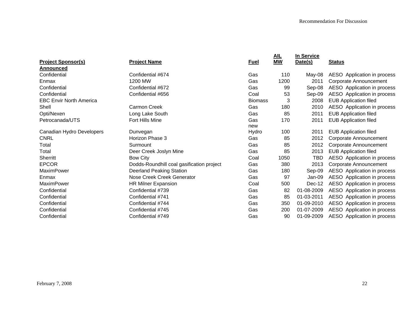|                                |                                           |                | <u>AIL</u> | <b>In Service</b> |                              |
|--------------------------------|-------------------------------------------|----------------|------------|-------------------|------------------------------|
| <b>Project Sponsor(s)</b>      | <b>Project Name</b>                       | <b>Fuel</b>    | <b>MW</b>  | Date(s)           | <b>Status</b>                |
| Announced                      |                                           |                |            |                   |                              |
| Confidential                   | Confidential #674                         | Gas            | 110        | May-08            | AESO Application in process  |
| Enmax                          | 1200 MW                                   | Gas            | 1200       | 2011              | Corporate Announcement       |
| Confidential                   | Confidential #672                         | Gas            | 99         | Sep-08            | AESO Application in process  |
| Confidential                   | Confidential #656                         | Coal           | 53         | Sep-09            | AESO Application in process  |
| <b>EBC Envir North America</b> |                                           | <b>Biomass</b> | 3          | 2008              | <b>EUB Application filed</b> |
| Shell                          | Carmon Creek                              | Gas            | 180        | 2010              | AESO Application in process  |
| Opti/Nexen                     | Long Lake South                           | Gas            | 85         | 2011              | <b>EUB Application filed</b> |
| Petrocanada/UTS                | Fort Hills Mine                           | Gas            | 170        | 2011              | <b>EUB Application filed</b> |
|                                |                                           | new            |            |                   |                              |
| Canadian Hydro Developers      | Dunvegan                                  | Hydro          | 100        | 2011              | <b>EUB Application filed</b> |
| <b>CNRL</b>                    | Horizon Phase 3                           | Gas            | 85         | 2012              | Corporate Announcement       |
| Total                          | Surmount                                  | Gas            | 85         | 2012              | Corporate Announcement       |
| Total                          | Deer Creek Joslyn Mine                    | Gas            | 85         | 2013              | <b>EUB Application filed</b> |
| <b>Sherritt</b>                | <b>Bow City</b>                           | Coal           | 1050       | <b>TBD</b>        | AESO Application in process  |
| <b>EPCOR</b>                   | Dodds-Roundhill coal gasification project | Gas            | 380        | 2013              | Corporate Announcement       |
| <b>MaximPower</b>              | <b>Deerland Peaking Station</b>           | Gas            | 180        | Sep-09            | AESO Application in process  |
| Enmax                          | Nose Creek Creek Generator                | Gas            | 97         | Jan-09            | AESO Application in process  |
| MaximPower                     | <b>HR Milner Expansion</b>                | Coal           | 500        | Dec-12            | AESO Application in process  |
| Confidential                   | Confidential #739                         | Gas            | 82         | 01-08-2009        | AESO Application in process  |
| Confidential                   | Confidential #741                         | Gas            | 85         | 01-03-2011        | AESO Application in process  |
| Confidential                   | Confidential #744                         | Gas            | 350        | 01-09-2010        | AESO Application in process  |
| Confidential                   | Confidential #745                         | Gas            | 200        | 01-07-2009        | AESO Application in process  |
| Confidential                   | Confidential #749                         | Gas            | 90         | 01-09-2009        | AESO Application in process  |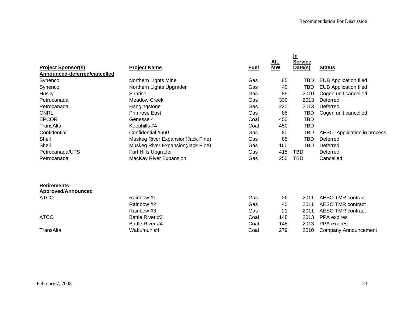|                                                  |                                   |             | AL        | <u>In</u><br>Service |                              |
|--------------------------------------------------|-----------------------------------|-------------|-----------|----------------------|------------------------------|
| <b>Project Sponsor(s)</b>                        | <b>Project Name</b>               | <b>Fuel</b> | <b>MW</b> | Date(s)              | <b>Status</b>                |
| Announced-deferred/cancelled                     |                                   |             |           |                      |                              |
| Synenco                                          | Northern Lights Mine              | Gas         | 85        | TBD                  | <b>EUB Application filed</b> |
| Synenco                                          | Northern Lights Upgrader          | Gas         | 40        | <b>TBD</b>           | <b>EUB Application filed</b> |
| Husky                                            | Sunrise                           | Gas         | 85        | 2010                 | Cogen unit cancelled         |
| Petrocanada                                      | <b>Meadow Creek</b>               | Gas         | 330       | 2013                 | Deferred                     |
| Petrocanada                                      | Hangingstone                      | Gas         | 220       | 2013                 | Deferred                     |
| <b>CNRL</b>                                      | <b>Primrose East</b>              | Gas         | 85        | <b>TBD</b>           | Cogen unit cancelled         |
| <b>EPCOR</b>                                     | Genesse 4                         | Coal        | 450       | <b>TBD</b>           |                              |
| TransAlta                                        | Keephills #4                      | Coal        | 450       | <b>TBD</b>           |                              |
| Confidential                                     | Confidential #660                 | Gas         | 80        | <b>TBD</b>           | AESO Application in process  |
| Shell                                            | Muskeg River Expansion(Jack Pine) | Gas         | 85        | <b>TBD</b>           | Deferred                     |
| Shell                                            | Muskeg River Expansion(Jack Pine) | Gas         | 160       | <b>TBD</b>           | Deferred                     |
| Petrocanada/UTS                                  | Fort Hills Upgrader               | Gas         | 415       | <b>TBD</b>           | Deferred                     |
| Petrocanada                                      | MacKay River Expansion            | Gas         | 250       | <b>TBD</b>           | Cancelled                    |
| <b>Retirements-</b><br><b>Approved/Announced</b> |                                   |             |           |                      |                              |
| <b>ATCO</b>                                      | Rainbow #1                        | Gas         | 26        | 2011                 | <b>AESO TMR contract</b>     |
|                                                  | Rainbow #2                        | Gas         | 40        | 2011                 | <b>AESO TMR contract</b>     |
|                                                  | Rainbow #3                        | Gas         | 21        | 2011                 | <b>AESO TMR contract</b>     |
| <b>ATCO</b>                                      | Battle River #3                   | Coal        | 148       | 2013                 | PPA expires                  |
|                                                  | Battle River #4                   | Coal        | 148       | 2013                 | PPA expires                  |
| TransAlta                                        | Wabumun #4                        | Coal        | 279       | 2010                 | Company Announcement         |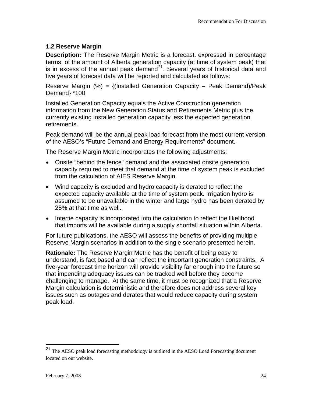#### <span id="page-23-0"></span>**1.2 Reserve Margin**

**Description:** The Reserve Margin Metric is a forecast, expressed in percentage terms, of the amount of Alberta generation capacity (at time of system peak) that is in excess of the annual peak demand<sup>[21](#page-23-0)</sup>. Several years of historical data and five years of forecast data will be reported and calculated as follows:

Reserve Margin  $\textdegree(\%) = \{\textdegree(\}$  Installed Generation Capacity – Peak Demand)/Peak Demand} \*100

Installed Generation Capacity equals the Active Construction generation information from the New Generation Status and Retirements Metric plus the currently existing installed generation capacity less the expected generation retirements.

Peak demand will be the annual peak load forecast from the most current version of the AESO's "Future Demand and Energy Requirements" document.

The Reserve Margin Metric incorporates the following adjustments:

- Onsite "behind the fence" demand and the associated onsite generation capacity required to meet that demand at the time of system peak is excluded from the calculation of AIES Reserve Margin.
- Wind capacity is excluded and hydro capacity is derated to reflect the expected capacity available at the time of system peak. Irrigation hydro is assumed to be unavailable in the winter and large hydro has been derated by 25% at that time as well.
- Intertie capacity is incorporated into the calculation to reflect the likelihood that imports will be available during a supply shortfall situation within Alberta.

For future publications, the AESO will assess the benefits of providing multiple Reserve Margin scenarios in addition to the single scenario presented herein.

**Rationale:** The Reserve Margin Metric has the benefit of being easy to understand, is fact based and can reflect the important generation constraints. A five-year forecast time horizon will provide visibility far enough into the future so that impending adequacy issues can be tracked well before they become challenging to manage. At the same time, it must be recognized that a Reserve Margin calculation is deterministic and therefore does not address several key issues such as outages and derates that would reduce capacity during system peak load.

 $\overline{a}$ 

<sup>&</sup>lt;sup>21</sup> The AESO peak load forecasting methodology is outlined in the AESO Load Forecasting document located on our website.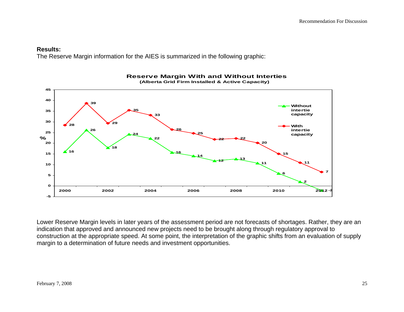#### **Results:**

The Reserve Margin information for the AIES is summarized in the following graphic:



 **Reserve Margin With and Without Interties (Alberta Grid Firm Installed & Active Capacity)**

Lower Reserve Margin levels in later years of the assessment period are not forecasts of shortages. Rather, they are an indication that approved and announced new projects need to be brought along through regulatory approval to construction at the appropriate speed. At some point, the interpretation of the graphic shifts from an evaluation of supply margin to a determination of future needs and investment opportunities.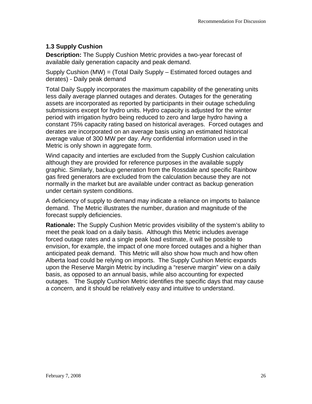#### **1.3 Supply Cushion**

**Description:** The Supply Cushion Metric provides a two-year forecast of available daily generation capacity and peak demand.

Supply Cushion (MW) = (Total Daily Supply – Estimated forced outages and derates) - Daily peak demand

Total Daily Supply incorporates the maximum capability of the generating units less daily average planned outages and derates. Outages for the generating assets are incorporated as reported by participants in their outage scheduling submissions except for hydro units. Hydro capacity is adjusted for the winter period with irrigation hydro being reduced to zero and large hydro having a constant 75% capacity rating based on historical averages. Forced outages and derates are incorporated on an average basis using an estimated historical average value of 300 MW per day. Any confidential information used in the Metric is only shown in aggregate form.

Wind capacity and interties are excluded from the Supply Cushion calculation although they are provided for reference purposes in the available supply graphic. Similarly, backup generation from the Rossdale and specific Rainbow gas fired generators are excluded from the calculation because they are not normally in the market but are available under contract as backup generation under certain system conditions.

A deficiency of supply to demand may indicate a reliance on imports to balance demand. The Metric illustrates the number, duration and magnitude of the forecast supply deficiencies.

**Rationale:** The Supply Cushion Metric provides visibility of the system's ability to meet the peak load on a daily basis. Although this Metric includes average forced outage rates and a single peak load estimate, it will be possible to envision, for example, the impact of one more forced outages and a higher than anticipated peak demand. This Metric will also show how much and how often Alberta load could be relying on imports. The Supply Cushion Metric expands upon the Reserve Margin Metric by including a "reserve margin" view on a daily basis, as opposed to an annual basis, while also accounting for expected outages. The Supply Cushion Metric identifies the specific days that may cause a concern, and it should be relatively easy and intuitive to understand.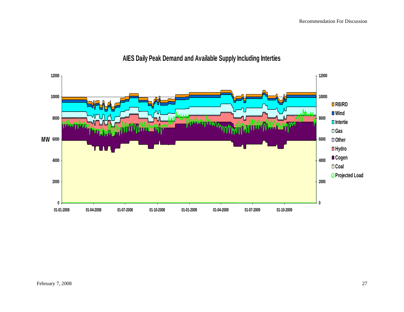

# **AIES Daily Peak Demand and Available Supply Including Interties**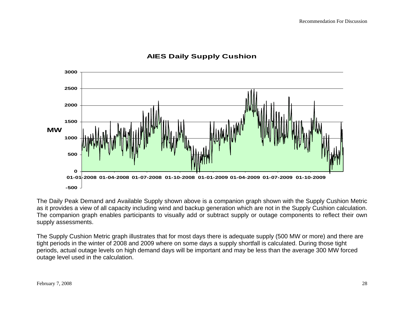

## **AIES Daily Supply Cushion**

The Daily Peak Demand and Available Supply shown above is a companion graph shown with the Supply Cushion Metric as it provides a view of all capacity including wind and backup generation which are not in the Supply Cushion calculation. The companion graph enables participants to visually add or subtract supply or outage components to reflect their own supply assessments.

The Supply Cushion Metric graph illustrates that for most days there is adequate supply (500 MW or more) and there are tight periods in the winter of 2008 and 2009 where on some days a supply shortfall is calculated. During those tight periods, actual outage levels on high demand days will be important and may be less than the average 300 MW forced outage level used in the calculation.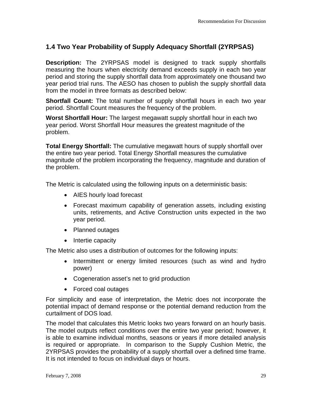## **1.4 Two Year Probability of Supply Adequacy Shortfall (2YRPSAS)**

**Description:** The 2YRPSAS model is designed to track supply shortfalls measuring the hours when electricity demand exceeds supply in each two year period and storing the supply shortfall data from approximately one thousand two year period trial runs. The AESO has chosen to publish the supply shortfall data from the model in three formats as described below:

**Shortfall Count:** The total number of supply shortfall hours in each two year period. Shortfall Count measures the frequency of the problem.

**Worst Shortfall Hour:** The largest megawatt supply shortfall hour in each two year period. Worst Shortfall Hour measures the greatest magnitude of the problem.

**Total Energy Shortfall:** The cumulative megawatt hours of supply shortfall over the entire two year period. Total Energy Shortfall measures the cumulative magnitude of the problem incorporating the frequency, magnitude and duration of the problem.

The Metric is calculated using the following inputs on a deterministic basis:

- AIES hourly load forecast
- Forecast maximum capability of generation assets, including existing units, retirements, and Active Construction units expected in the two year period.
- Planned outages
- Intertie capacity

The Metric also uses a distribution of outcomes for the following inputs:

- Intermittent or energy limited resources (such as wind and hydro power)
- Cogeneration asset's net to grid production
- Forced coal outages

For simplicity and ease of interpretation, the Metric does not incorporate the potential impact of demand response or the potential demand reduction from the curtailment of DOS load.

The model that calculates this Metric looks two years forward on an hourly basis. The model outputs reflect conditions over the entire two year period; however, it is able to examine individual months, seasons or years if more detailed analysis is required or appropriate. In comparison to the Supply Cushion Metric, the 2YRPSAS provides the probability of a supply shortfall over a defined time frame. It is not intended to focus on individual days or hours.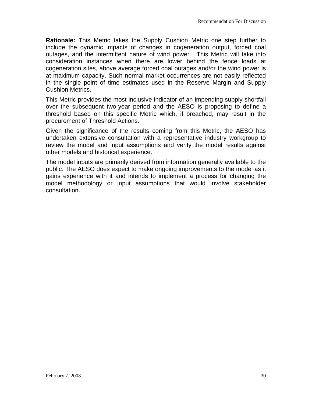**Rationale:** This Metric takes the Supply Cushion Metric one step further to include the dynamic impacts of changes in cogeneration output, forced coal outages, and the intermittent nature of wind power. This Metric will take into consideration instances when there are lower behind the fence loads at cogeneration sites, above average forced coal outages and/or the wind power is at maximum capacity. Such normal market occurrences are not easily reflected in the single point of time estimates used in the Reserve Margin and Supply Cushion Metrics.

This Metric provides the most inclusive indicator of an impending supply shortfall over the subsequent two-year period and the AESO is proposing to define a threshold based on this specific Metric which, if breached, may result in the procurement of Threshold Actions.

Given the significance of the results coming from this Metric, the AESO has undertaken extensive consultation with a representative industry workgroup to review the model and input assumptions and verify the model results against other models and historical experience.

The model inputs are primarily derived from information generally available to the public. The AESO does expect to make ongoing improvements to the model as it gains experience with it and intends to implement a process for changing the model methodology or input assumptions that would involve stakeholder consultation.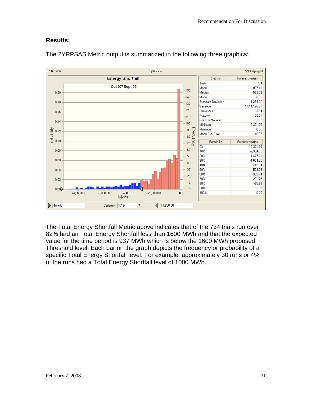#### **Results:**



The 2YRPSAS Metric output is summarized in the following three graphics:

The Total Energy Shortfall Metric above indicates that of the 734 trials run over 82% had an Total Energy Shortfall less than 1600 MWh and that the expected value for the time period is 937 MWh which is below the 1600 MWh proposed Threshold level. Each bar on the graph depicts the frequency or probability of a specific Total Energy Shortfall level. For example, approximately 30 runs or 4% of the runs had a Total Energy Shortfall level of 1000 MWh.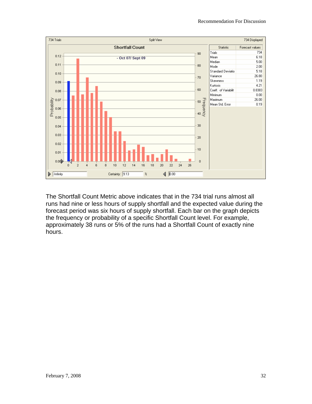

The Shortfall Count Metric above indicates that in the 734 trial runs almost all runs had nine or less hours of supply shortfall and the expected value during the forecast period was six hours of supply shortfall. Each bar on the graph depicts the frequency or probability of a specific Shortfall Count level. For example, approximately 38 runs or 5% of the runs had a Shortfall Count of exactly nine hours.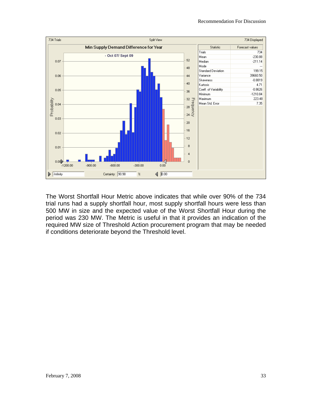

The Worst Shortfall Hour Metric above indicates that while over 90% of the 734 trial runs had a supply shortfall hour, most supply shortfall hours were less than 500 MW in size and the expected value of the Worst Shortfall Hour during the period was 230 MW. The Metric is useful in that it provides an indication of the required MW size of Threshold Action procurement program that may be needed if conditions deteriorate beyond the Threshold level.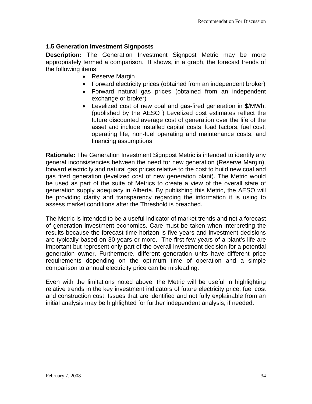#### **1.5 Generation Investment Signposts**

**Description:** The Generation Investment Signpost Metric may be more appropriately termed a comparison. It shows, in a graph, the forecast trends of the following items:

- Reserve Margin
- Forward electricity prices (obtained from an independent broker)
- Forward natural gas prices (obtained from an independent exchange or broker)
- Levelized cost of new coal and gas-fired generation in \$/MWh. (published by the AESO ) Levelized cost estimates reflect the future discounted average cost of generation over the life of the asset and include installed capital costs, load factors, fuel cost, operating life, non-fuel operating and maintenance costs, and financing assumptions

**Rationale:** The Generation Investment Signpost Metric is intended to identify any general inconsistencies between the need for new generation (Reserve Margin), forward electricity and natural gas prices relative to the cost to build new coal and gas fired generation (levelized cost of new generation plant). The Metric would be used as part of the suite of Metrics to create a view of the overall state of generation supply adequacy in Alberta. By publishing this Metric, the AESO will be providing clarity and transparency regarding the information it is using to assess market conditions after the Threshold is breached.

The Metric is intended to be a useful indicator of market trends and not a forecast of generation investment economics. Care must be taken when interpreting the results because the forecast time horizon is five years and investment decisions are typically based on 30 years or more. The first few years of a plant's life are important but represent only part of the overall investment decision for a potential generation owner. Furthermore, different generation units have different price requirements depending on the optimum time of operation and a simple comparison to annual electricity price can be misleading.

Even with the limitations noted above, the Metric will be useful in highlighting relative trends in the key investment indicators of future electricity price, fuel cost and construction cost. Issues that are identified and not fully explainable from an initial analysis may be highlighted for further independent analysis, if needed.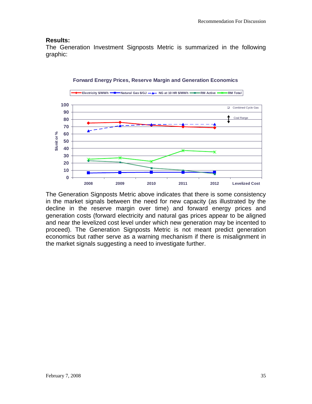#### **Results:**

The Generation Investment Signposts Metric is summarized in the following graphic:



#### **Forward Energy Prices, Reserve Margin and Generation Economics**

The Generation Signposts Metric above indicates that there is some consistency in the market signals between the need for new capacity (as illustrated by the decline in the reserve margin over time) and forward energy prices and generation costs (forward electricity and natural gas prices appear to be aligned and near the levelized cost level under which new generation may be incented to proceed). The Generation Signposts Metric is not meant predict generation economics but rather serve as a warning mechanism if there is misalignment in the market signals suggesting a need to investigate further.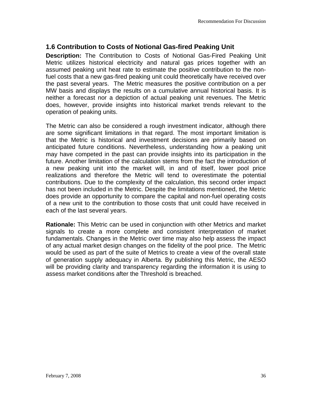## **1.6 Contribution to Costs of Notional Gas-fired Peaking Unit**

**Description:** The Contribution to Costs of Notional Gas-Fired Peaking Unit Metric utilizes historical electricity and natural gas prices together with an assumed peaking unit heat rate to estimate the positive contribution to the nonfuel costs that a new gas-fired peaking unit could theoretically have received over the past several years. The Metric measures the positive contribution on a per MW basis and displays the results on a cumulative annual historical basis. It is neither a forecast nor a depiction of actual peaking unit revenues. The Metric does, however, provide insights into historical market trends relevant to the operation of peaking units.

The Metric can also be considered a rough investment indicator, although there are some significant limitations in that regard. The most important limitation is that the Metric is historical and investment decisions are primarily based on anticipated future conditions. Nevertheless, understanding how a peaking unit may have competed in the past can provide insights into its participation in the future. Another limitation of the calculation stems from the fact the introduction of a new peaking unit into the market will, in and of itself, lower pool price realizations and therefore the Metric will tend to overestimate the potential contributions. Due to the complexity of the calculation, this second order impact has not been included in the Metric. Despite the limitations mentioned, the Metric does provide an opportunity to compare the capital and non-fuel operating costs of a new unit to the contribution to those costs that unit could have received in each of the last several years.

**Rationale:** This Metric can be used in conjunction with other Metrics and market signals to create a more complete and consistent interpretation of market fundamentals. Changes in the Metric over time may also help assess the impact of any actual market design changes on the fidelity of the pool price. The Metric would be used as part of the suite of Metrics to create a view of the overall state of generation supply adequacy in Alberta. By publishing this Metric, the AESO will be providing clarity and transparency regarding the information it is using to assess market conditions after the Threshold is breached.